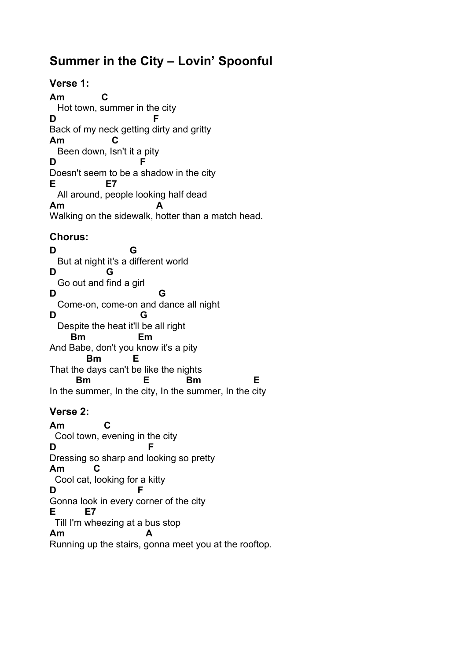# **Summer in the City – Lovin' Spoonful**

## **Verse 1:**

**Am C** Hot town, summer in the city **D F** Back of my neck getting dirty and gritty **Am C** Been down, Isn't it a pity **D F** Doesn't seem to be a shadow in the city **E E7** All around, people looking half dead **Am A** Walking on the sidewalk, hotter than a match head.

## **Chorus:**

**D G** But at night it's a different world **D G** Go out and find a girl **D G** Come-on, come-on and dance all night **D G** Despite the heat it'll be all right  **Bm Em** And Babe, don't you know it's a pity  **Bm E** That the days can't be like the nights  **Bm E Bm E** In the summer, In the city, In the summer, In the city

## **Verse 2:**

**Am C** Cool town, evening in the city **D F** Dressing so sharp and looking so pretty **Am C** Cool cat, looking for a kitty **D F** Gonna look in every corner of the city **E E7** Till I'm wheezing at a bus stop **Am A**

Running up the stairs, gonna meet you at the rooftop.